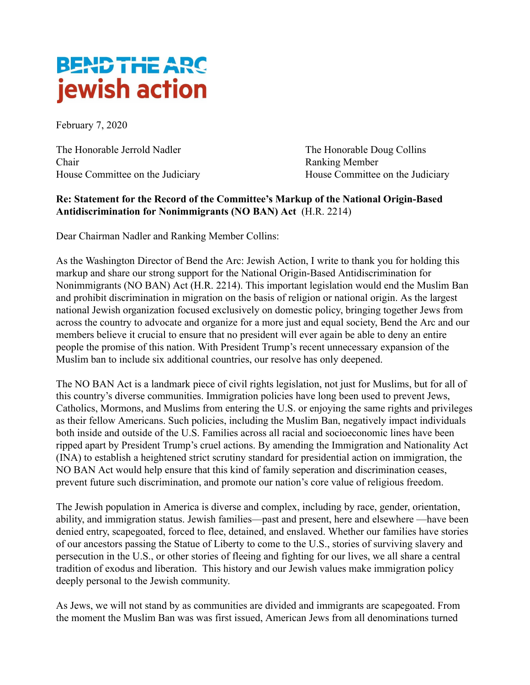## **BEND THE ARC** jewish action

February 7, 2020

The Honorable Jerrold Nadler The Honorable Doug Collins Chair Ranking Member

House Committee on the Judiciary House Committee on the Judiciary

## **Re: Statement for the Record of the Committee's Markup of the National Origin-Based Antidiscrimination for Nonimmigrants (NO BAN) Act** (H.R. 2214)

Dear Chairman Nadler and Ranking Member Collins:

As the Washington Director of Bend the Arc: Jewish Action, I write to thank you for holding this markup and share our strong support for the National Origin-Based Antidiscrimination for Nonimmigrants (NO BAN) Act (H.R. 2214) . This important legislation would end the Muslim Ban and prohibit discrimination in migration on the basis of religion or national origin. As the largest national Jewish organization focused exclusively on domestic policy, bringing together Jews from across the country to advocate and organize for a more just and equal society, Bend the Arc and our members believe it crucial to ensure that no president will ever again be able to deny an entire people the promise of this nation. With President Trump's recent unnecessary expansion of the Muslim ban to include six additional countries, our resolve has only deepened.

The NO BAN Act is a landmark piece of civil rights legislation, not just for Muslims, but for all of this country's diverse communities. Immigration policies have long been used to prevent Jews, Catholics, Mormons, and Muslims from entering the U.S. or enjoying the same rights and privileges as their fellow Americans. Such policies, including the Muslim Ban, negatively impact individuals both inside and outside of the U.S. Families across all racial and socioeconomic lines have been ripped apart by President Trump's cruel actions. By amending the Immigration and Nationality Act (INA) to establish a heightened strict scrutiny standard for presidential action on immigration, the NO BAN Act would help ensure that this kind of family seperation and discrimination ceases, prevent future such discrimination, and promote our nation's core value of religious freedom.

The Jewish population in America is diverse and complex, including by race, gender, orientation, ability, and immigration status. Jewish families—past and present, here and elsewhere —have been denied entry, scapegoated, forced to flee, detained, and enslaved. Whether our families have stories of our ancestors passing the Statue of Liberty to come to the U.S., stories of surviving slavery and persecution in the U.S., or other stories of fleeing and fighting for our lives, we all share a central tradition of exodus and liberation. This history and our Jewish values make immigration policy deeply personal to the Jewish community.

As Jews, we will not stand by as communities are divided and immigrants are scapegoated. From the moment the Muslim Ban was was first issued, American Jews from all denominations turned